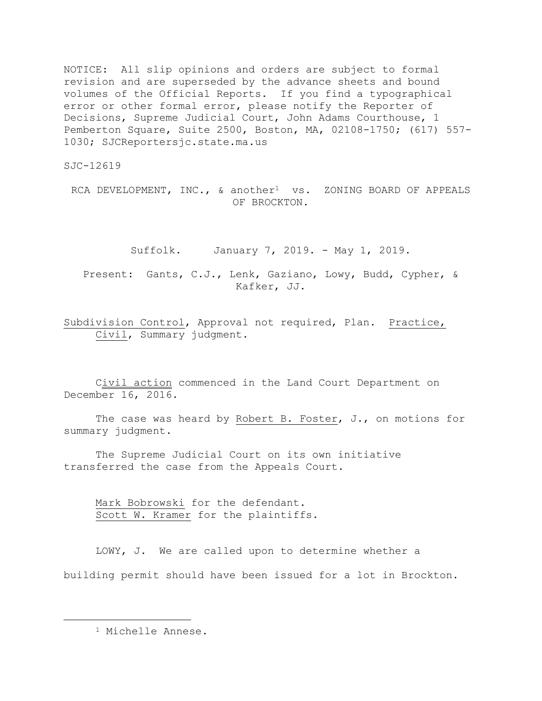NOTICE: All slip opinions and orders are subject to formal revision and are superseded by the advance sheets and bound volumes of the Official Reports. If you find a typographical error or other formal error, please notify the Reporter of Decisions, Supreme Judicial Court, John Adams Courthouse, 1 Pemberton Square, Suite 2500, Boston, MA, 02108-1750; (617) 557- 1030; SJCReportersjc.state.ma.us

SJC-12619

RCA DEVELOPMENT, INC., & another<sup>1</sup> vs. ZONING BOARD OF APPEALS OF BROCKTON.

Suffolk. January 7, 2019. - May 1, 2019.

Present: Gants, C.J., Lenk, Gaziano, Lowy, Budd, Cypher, & Kafker, JJ.

Subdivision Control, Approval not required, Plan. Practice, Civil, Summary judgment.

Civil action commenced in the Land Court Department on December 16, 2016.

The case was heard by Robert B. Foster, J., on motions for summary judgment.

The Supreme Judicial Court on its own initiative transferred the case from the Appeals Court.

Mark Bobrowski for the defendant. Scott W. Kramer for the plaintiffs.

LOWY, J. We are called upon to determine whether a building permit should have been issued for a lot in Brockton.

<sup>1</sup> Michelle Annese.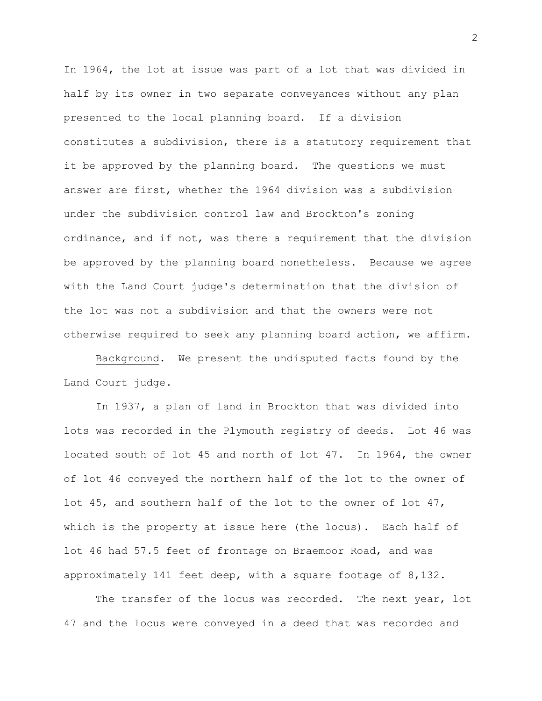In 1964, the lot at issue was part of a lot that was divided in half by its owner in two separate conveyances without any plan presented to the local planning board. If a division constitutes a subdivision, there is a statutory requirement that it be approved by the planning board. The questions we must answer are first, whether the 1964 division was a subdivision under the subdivision control law and Brockton's zoning ordinance, and if not, was there a requirement that the division be approved by the planning board nonetheless. Because we agree with the Land Court judge's determination that the division of the lot was not a subdivision and that the owners were not otherwise required to seek any planning board action, we affirm.

Background. We present the undisputed facts found by the Land Court judge.

In 1937, a plan of land in Brockton that was divided into lots was recorded in the Plymouth registry of deeds. Lot 46 was located south of lot 45 and north of lot 47. In 1964, the owner of lot 46 conveyed the northern half of the lot to the owner of lot 45, and southern half of the lot to the owner of lot 47, which is the property at issue here (the locus). Each half of lot 46 had 57.5 feet of frontage on Braemoor Road, and was approximately 141 feet deep, with a square footage of 8,132.

The transfer of the locus was recorded. The next year, lot 47 and the locus were conveyed in a deed that was recorded and

2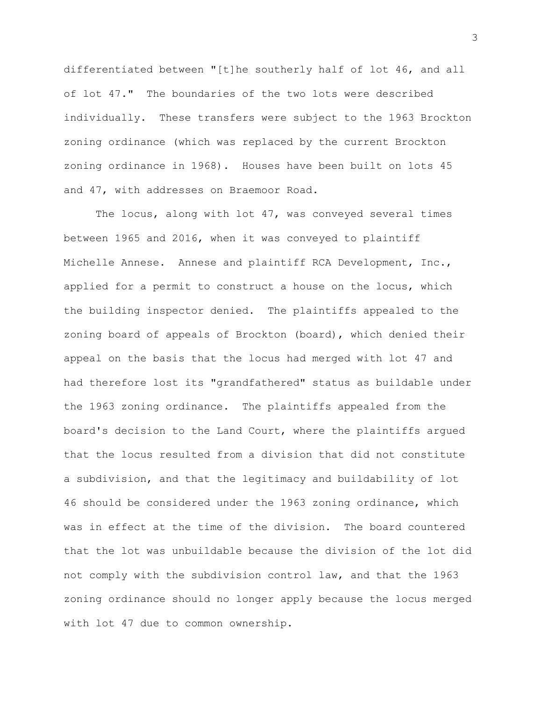differentiated between "[t]he southerly half of lot 46, and all of lot 47." The boundaries of the two lots were described individually. These transfers were subject to the 1963 Brockton zoning ordinance (which was replaced by the current Brockton zoning ordinance in 1968). Houses have been built on lots 45 and 47, with addresses on Braemoor Road.

The locus, along with lot 47, was conveyed several times between 1965 and 2016, when it was conveyed to plaintiff Michelle Annese. Annese and plaintiff RCA Development, Inc., applied for a permit to construct a house on the locus, which the building inspector denied. The plaintiffs appealed to the zoning board of appeals of Brockton (board), which denied their appeal on the basis that the locus had merged with lot 47 and had therefore lost its "grandfathered" status as buildable under the 1963 zoning ordinance. The plaintiffs appealed from the board's decision to the Land Court, where the plaintiffs argued that the locus resulted from a division that did not constitute a subdivision, and that the legitimacy and buildability of lot 46 should be considered under the 1963 zoning ordinance, which was in effect at the time of the division. The board countered that the lot was unbuildable because the division of the lot did not comply with the subdivision control law, and that the 1963 zoning ordinance should no longer apply because the locus merged with lot 47 due to common ownership.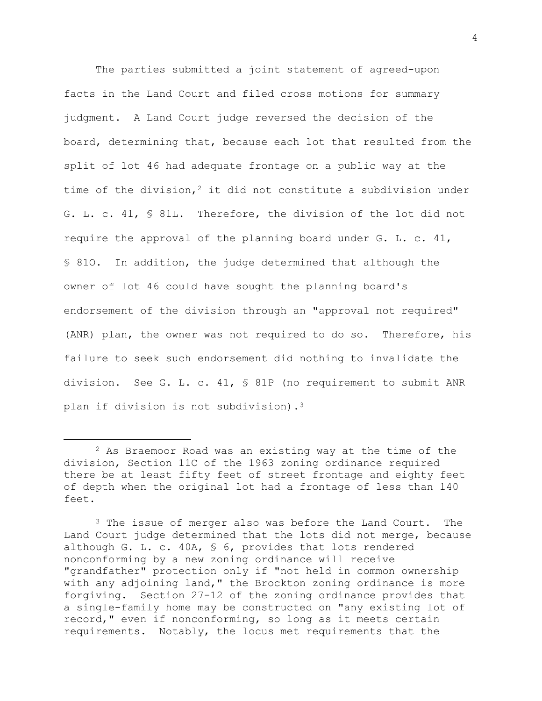The parties submitted a joint statement of agreed-upon facts in the Land Court and filed cross motions for summary judgment. A Land Court judge reversed the decision of the board, determining that, because each lot that resulted from the split of lot 46 had adequate frontage on a public way at the time of the division,<sup>2</sup> it did not constitute a subdivision under G. L. c. 41, § 81L. Therefore, the division of the lot did not require the approval of the planning board under G. L. c. 41, § 81O. In addition, the judge determined that although the owner of lot 46 could have sought the planning board's endorsement of the division through an "approval not required" (ANR) plan, the owner was not required to do so. Therefore, his failure to seek such endorsement did nothing to invalidate the division. See G. L. c. 41, § 81P (no requirement to submit ANR plan if division is not subdivision).<sup>3</sup>

<sup>2</sup> As Braemoor Road was an existing way at the time of the division, Section 11C of the 1963 zoning ordinance required there be at least fifty feet of street frontage and eighty feet of depth when the original lot had a frontage of less than 140 feet.

<sup>&</sup>lt;sup>3</sup> The issue of merger also was before the Land Court. The Land Court judge determined that the lots did not merge, because although G. L. c. 40A, § 6, provides that lots rendered nonconforming by a new zoning ordinance will receive "grandfather" protection only if "not held in common ownership with any adjoining land," the Brockton zoning ordinance is more forgiving. Section 27-12 of the zoning ordinance provides that a single-family home may be constructed on "any existing lot of record," even if nonconforming, so long as it meets certain requirements. Notably, the locus met requirements that the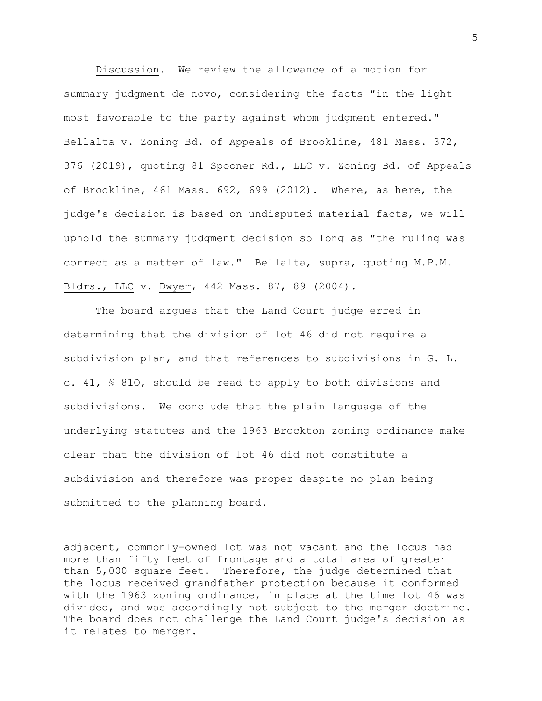Discussion. We review the allowance of a motion for summary judgment de novo, considering the facts "in the light most favorable to the party against whom judgment entered." Bellalta v. Zoning Bd. of Appeals of Brookline, 481 Mass. 372, 376 (2019), quoting 81 Spooner Rd., LLC v. Zoning Bd. of Appeals of Brookline, 461 Mass. 692, 699 (2012). Where, as here, the judge's decision is based on undisputed material facts, we will uphold the summary judgment decision so long as "the ruling was correct as a matter of law." Bellalta, supra, quoting M.P.M. Bldrs., LLC v. Dwyer, 442 Mass. 87, 89 (2004).

The board argues that the Land Court judge erred in determining that the division of lot 46 did not require a subdivision plan, and that references to subdivisions in G. L. c. 41, § 81O, should be read to apply to both divisions and subdivisions. We conclude that the plain language of the underlying statutes and the 1963 Brockton zoning ordinance make clear that the division of lot 46 did not constitute a subdivision and therefore was proper despite no plan being submitted to the planning board.

adjacent, commonly-owned lot was not vacant and the locus had more than fifty feet of frontage and a total area of greater than 5,000 square feet. Therefore, the judge determined that the locus received grandfather protection because it conformed with the 1963 zoning ordinance, in place at the time lot 46 was divided, and was accordingly not subject to the merger doctrine. The board does not challenge the Land Court judge's decision as it relates to merger.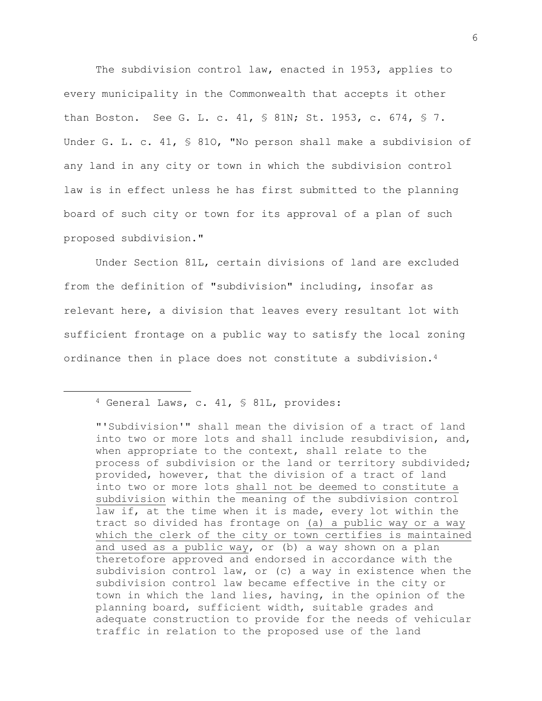The subdivision control law, enacted in 1953, applies to every municipality in the Commonwealth that accepts it other than Boston. See G. L. c. 41, § 81N; St. 1953, c. 674, § 7. Under G. L. c. 41, § 81O, "No person shall make a subdivision of any land in any city or town in which the subdivision control law is in effect unless he has first submitted to the planning board of such city or town for its approval of a plan of such proposed subdivision."

Under Section 81L, certain divisions of land are excluded from the definition of "subdivision" including, insofar as relevant here, a division that leaves every resultant lot with sufficient frontage on a public way to satisfy the local zoning ordinance then in place does not constitute a subdivision.<sup>4</sup>

<sup>4</sup> General Laws, c. 41, § 81L, provides:

<sup>&</sup>quot;'Subdivision'" shall mean the division of a tract of land into two or more lots and shall include resubdivision, and, when appropriate to the context, shall relate to the process of subdivision or the land or territory subdivided; provided, however, that the division of a tract of land into two or more lots shall not be deemed to constitute a subdivision within the meaning of the subdivision control law if, at the time when it is made, every lot within the tract so divided has frontage on (a) a public way or a way which the clerk of the city or town certifies is maintained and used as a public way, or (b) a way shown on a plan theretofore approved and endorsed in accordance with the subdivision control law, or (c) a way in existence when the subdivision control law became effective in the city or town in which the land lies, having, in the opinion of the planning board, sufficient width, suitable grades and adequate construction to provide for the needs of vehicular traffic in relation to the proposed use of the land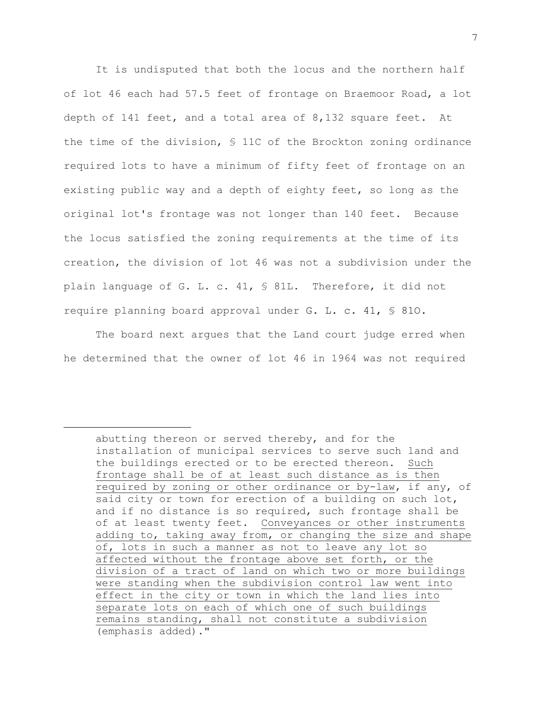It is undisputed that both the locus and the northern half of lot 46 each had 57.5 feet of frontage on Braemoor Road, a lot depth of 141 feet, and a total area of 8,132 square feet. At the time of the division, § 11C of the Brockton zoning ordinance required lots to have a minimum of fifty feet of frontage on an existing public way and a depth of eighty feet, so long as the original lot's frontage was not longer than 140 feet. Because the locus satisfied the zoning requirements at the time of its creation, the division of lot 46 was not a subdivision under the plain language of G. L. c. 41, § 81L. Therefore, it did not require planning board approval under G. L. c. 41, § 81O.

The board next argues that the Land court judge erred when he determined that the owner of lot 46 in 1964 was not required

abutting thereon or served thereby, and for the installation of municipal services to serve such land and the buildings erected or to be erected thereon. Such frontage shall be of at least such distance as is then required by zoning or other ordinance or by-law, if any, of said city or town for erection of a building on such lot, and if no distance is so required, such frontage shall be of at least twenty feet. Conveyances or other instruments adding to, taking away from, or changing the size and shape of, lots in such a manner as not to leave any lot so affected without the frontage above set forth, or the division of a tract of land on which two or more buildings were standing when the subdivision control law went into effect in the city or town in which the land lies into separate lots on each of which one of such buildings remains standing, shall not constitute a subdivision (emphasis added)."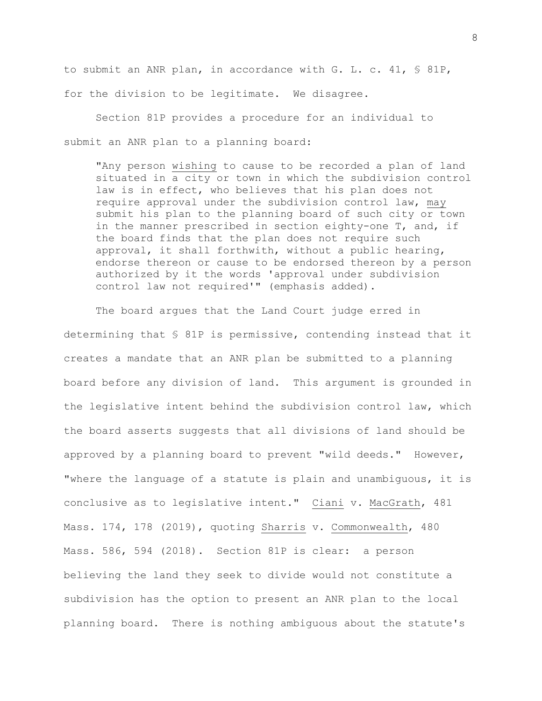to submit an ANR plan, in accordance with G. L. c. 41, § 81P, for the division to be legitimate. We disagree.

Section 81P provides a procedure for an individual to submit an ANR plan to a planning board:

"Any person wishing to cause to be recorded a plan of land situated in a city or town in which the subdivision control law is in effect, who believes that his plan does not require approval under the subdivision control law, may submit his plan to the planning board of such city or town in the manner prescribed in section eighty-one T, and, if the board finds that the plan does not require such approval, it shall forthwith, without a public hearing, endorse thereon or cause to be endorsed thereon by a person authorized by it the words 'approval under subdivision control law not required'" (emphasis added).

The board argues that the Land Court judge erred in determining that § 81P is permissive, contending instead that it creates a mandate that an ANR plan be submitted to a planning board before any division of land. This argument is grounded in the legislative intent behind the subdivision control law, which the board asserts suggests that all divisions of land should be approved by a planning board to prevent "wild deeds." However, "where the language of a statute is plain and unambiguous, it is conclusive as to legislative intent." Ciani v. MacGrath, 481 Mass. 174, 178 (2019), quoting Sharris v. Commonwealth, 480 Mass. 586, 594 (2018). Section 81P is clear: a person believing the land they seek to divide would not constitute a subdivision has the option to present an ANR plan to the local planning board. There is nothing ambiguous about the statute's